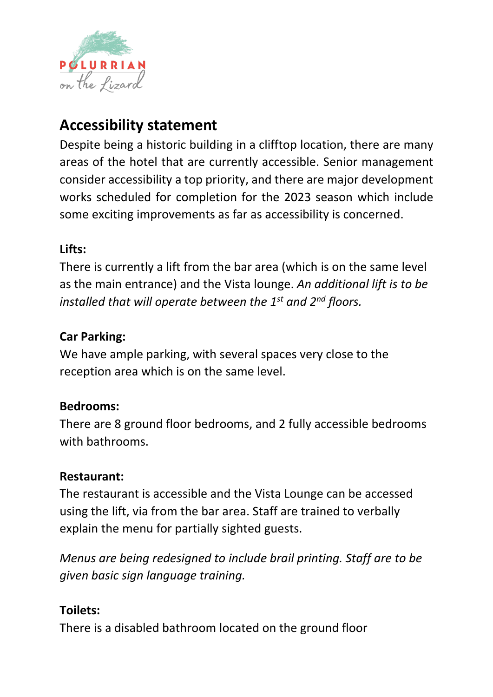

# **Accessibility statement**

Despite being a historic building in a clifftop location, there are many areas of the hotel that are currently accessible. Senior management consider accessibility a top priority, and there are major development works scheduled for completion for the 2023 season which include some exciting improvements as far as accessibility is concerned.

# **Lifts:**

There is currently a lift from the bar area (which is on the same level as the main entrance) and the Vista lounge. *An additional lift is to be installed that will operate between the 1st and 2nd floors.*

# **Car Parking:**

We have ample parking, with several spaces very close to the reception area which is on the same level.

#### **Bedrooms:**

There are 8 ground floor bedrooms, and 2 fully accessible bedrooms with bathrooms.

#### **Restaurant:**

The restaurant is accessible and the Vista Lounge can be accessed using the lift, via from the bar area. Staff are trained to verbally explain the menu for partially sighted guests.

*Menus are being redesigned to include brail printing. Staff are to be given basic sign language training.*

#### **Toilets:**

There is a disabled bathroom located on the ground floor